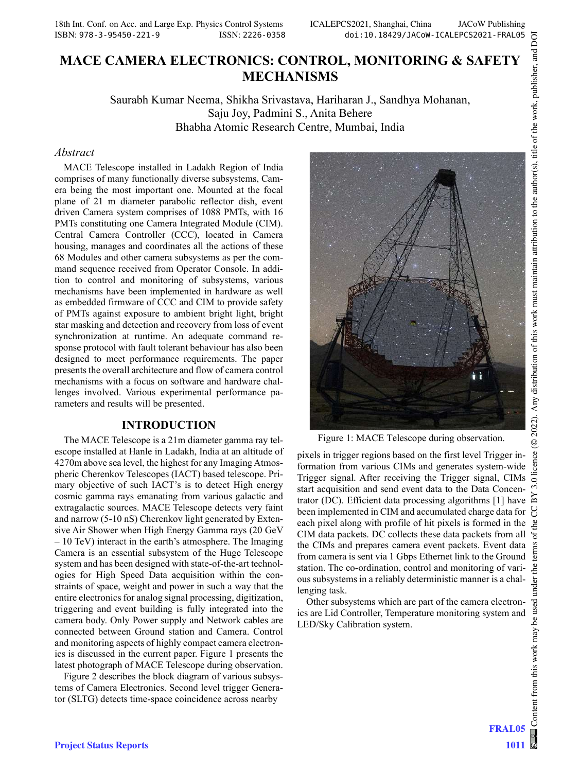# MACE CAMERA ELECTRONICS: CONTROL, MONITORING & SAFETY MECHANISMS

Saurabh Kumar Neema, Shikha Srivastava, Hariharan J., Sandhya Mohanan, Saju Joy, Padmini S., Anita Behere Bhabha Atomic Research Centre, Mumbai, India

#### Abstract

MACE Telescope installed in Ladakh Region of India comprises of many functionally diverse subsystems, Camera being the most important one. Mounted at the focal plane of 21 m diameter parabolic reflector dish, event driven Camera system comprises of 1088 PMTs, with 16 PMTs constituting one Camera Integrated Module (CIM). Central Camera Controller (CCC), located in Camera housing, manages and coordinates all the actions of these 68 Modules and other camera subsystems as per the command sequence received from Operator Console. In addition to control and monitoring of subsystems, various mechanisms have been implemented in hardware as well as embedded firmware of CCC and CIM to provide safety of PMTs against exposure to ambient bright light, bright star masking and detection and recovery from loss of event synchronization at runtime. An adequate command response protocol with fault tolerant behaviour has also been designed to meet performance requirements. The paper presents the overall architecture and flow of camera control mechanisms with a focus on software and hardware challenges involved. Various experimental performance parameters and results will be presented.

#### INTRODUCTION

The MACE Telescope is a 21m diameter gamma ray telescope installed at Hanle in Ladakh, India at an altitude of 4270m above sea level, the highest for any Imaging Atmospheric Cherenkov Telescopes (IACT) based telescope. Primary objective of such IACT's is to detect High energy cosmic gamma rays emanating from various galactic and extragalactic sources. MACE Telescope detects very faint and narrow (5-10 nS) Cherenkov light generated by Extensive Air Shower when High Energy Gamma rays (20 GeV – 10 TeV) interact in the earth's atmosphere. The Imaging Camera is an essential subsystem of the Huge Telescope system and has been designed with state-of-the-art technologies for High Speed Data acquisition within the constraints of space, weight and power in such a way that the entire electronics for analog signal processing, digitization, triggering and event building is fully integrated into the camera body. Only Power supply and Network cables are connected between Ground station and Camera. Control and monitoring aspects of highly compact camera electronics is discussed in the current paper. Figure 1 presents the latest photograph of MACE Telescope during observation.

Figure 2 describes the block diagram of various subsystems of Camera Electronics. Second level trigger Generator (SLTG) detects time-space coincidence across nearby



Figure 1: MACE Telescope during observation.

pixels in trigger regions based on the first level Trigger information from various CIMs and generates system-wide Trigger signal. After receiving the Trigger signal, CIMs start acquisition and send event data to the Data Concentrator (DC). Efficient data processing algorithms [1] have been implemented in CIM and accumulated charge data for each pixel along with profile of hit pixels is formed in the CIM data packets. DC collects these data packets from all the CIMs and prepares camera event packets. Event data from camera is sent via 1 Gbps Ethernet link to the Ground station. The co-ordination, control and monitoring of various subsystems in a reliably deterministic manner is a challenging task.

Other subsystems which are part of the camera electronics are Lid Controller, Temperature monitoring system and LED/Sky Calibration system.

FRAL05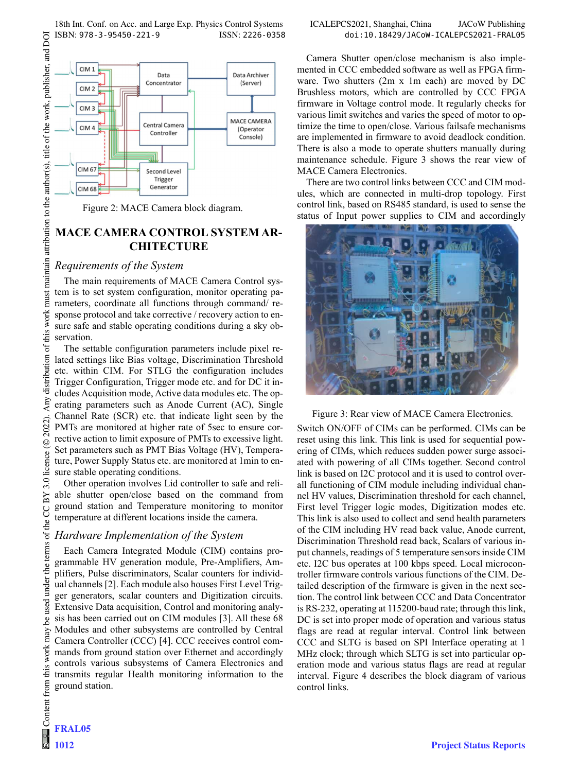

Figure 2: MACE Camera block diagram.

# MACE CAMERA CONTROL SYSTEM AR-**CHITECTURE**

## Requirements of the System

The main requirements of MACE Camera Control system is to set system configuration, monitor operating parameters, coordinate all functions through command/ response protocol and take corrective / recovery action to ensure safe and stable operating conditions during a sky observation.

The settable configuration parameters include pixel related settings like Bias voltage, Discrimination Threshold etc. within CIM. For STLG the configuration includes Trigger Configuration, Trigger mode etc. and for DC it includes Acquisition mode, Active data modules etc. The operating parameters such as Anode Current (AC), Single Channel Rate (SCR) etc. that indicate light seen by the PMTs are monitored at higher rate of 5sec to ensure corrective action to limit exposure of PMTs to excessive light. Set parameters such as PMT Bias Voltage (HV), Temperature, Power Supply Status etc. are monitored at 1min to ensure stable operating conditions.

Other operation involves Lid controller to safe and reliable shutter open/close based on the command from ground station and Temperature monitoring to monitor temperature at different locations inside the camera.

# Hardware Implementation of the System

Each Camera Integrated Module (CIM) contains programmable HV generation module, Pre-Amplifiers, Amplifiers, Pulse discriminators, Scalar counters for individual channels [2]. Each module also houses First Level Trigger generators, scalar counters and Digitization circuits. Extensive Data acquisition, Control and monitoring analysis has been carried out on CIM modules [3]. All these 68 Modules and other subsystems are controlled by Central Camera Controller (CCC) [4]. CCC receives control commands from ground station over Ethernet and accordingly controls various subsystems of Camera Electronics and transmits regular Health monitoring information to the ground station.

Camera Shutter open/close mechanism is also implemented in CCC embedded software as well as FPGA firmware. Two shutters (2m x 1m each) are moved by DC Brushless motors, which are controlled by CCC FPGA firmware in Voltage control mode. It regularly checks for various limit switches and varies the speed of motor to optimize the time to open/close. Various failsafe mechanisms are implemented in firmware to avoid deadlock condition. There is also a mode to operate shutters manually during maintenance schedule. Figure 3 shows the rear view of MACE Camera Electronics.

There are two control links between CCC and CIM modules, which are connected in multi-drop topology. First control link, based on RS485 standard, is used to sense the status of Input power supplies to CIM and accordingly



Figure 3: Rear view of MACE Camera Electronics.

Switch ON/OFF of CIMs can be performed. CIMs can be reset using this link. This link is used for sequential powering of CIMs, which reduces sudden power surge associated with powering of all CIMs together. Second control link is based on I2C protocol and it is used to control overall functioning of CIM module including individual channel HV values, Discrimination threshold for each channel, First level Trigger logic modes, Digitization modes etc. This link is also used to collect and send health parameters of the CIM including HV read back value, Anode current, Discrimination Threshold read back, Scalars of various input channels, readings of 5 temperature sensors inside CIM etc. I2C bus operates at 100 kbps speed. Local microcontroller firmware controls various functions of the CIM. Detailed description of the firmware is given in the next section. The control link between CCC and Data Concentrator is RS-232, operating at 115200-baud rate; through this link, DC is set into proper mode of operation and various status flags are read at regular interval. Control link between CCC and SLTG is based on SPI Interface operating at 1 MHz clock; through which SLTG is set into particular operation mode and various status flags are read at regular interval. Figure 4 describes the block diagram of various control links.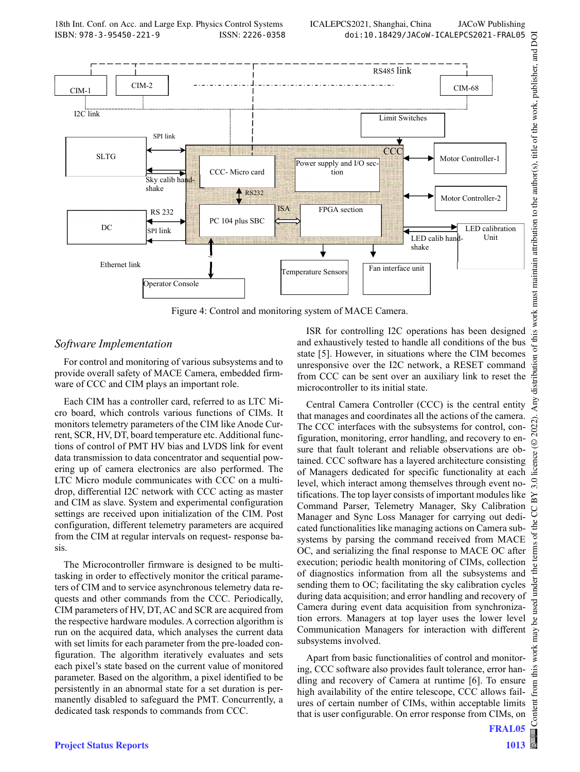

Figure 4: Control and monitoring system of MACE Camera.

#### Software Implementation

For control and monitoring of various subsystems and to provide overall safety of MACE Camera, embedded firmware of CCC and CIM plays an important role.

Each CIM has a controller card, referred to as LTC Micro board, which controls various functions of CIMs. It monitors telemetry parameters of the CIM like Anode Current, SCR, HV, DT, board temperature etc. Additional functions of control of PMT HV bias and LVDS link for event data transmission to data concentrator and sequential powering up of camera electronics are also performed. The LTC Micro module communicates with CCC on a multidrop, differential I2C network with CCC acting as master and CIM as slave. System and experimental configuration settings are received upon initialization of the CIM. Post configuration, different telemetry parameters are acquired from the CIM at regular intervals on request- response basis.

The Microcontroller firmware is designed to be multitasking in order to effectively monitor the critical parameters of CIM and to service asynchronous telemetry data requests and other commands from the CCC. Periodically, CIM parameters of HV, DT, AC and SCR are acquired from the respective hardware modules. A correction algorithm is run on the acquired data, which analyses the current data with set limits for each parameter from the pre-loaded configuration. The algorithm iteratively evaluates and sets each pixel's state based on the current value of monitored parameter. Based on the algorithm, a pixel identified to be persistently in an abnormal state for a set duration is permanently disabled to safeguard the PMT. Concurrently, a dedicated task responds to commands from CCC.

ISR for controlling I2C operations has been designed and exhaustively tested to handle all conditions of the bus state [5]. However, in situations where the CIM becomes unresponsive over the I2C network, a RESET command from CCC can be sent over an auxiliary link to reset the microcontroller to its initial state.

Central Camera Controller (CCC) is the central entity that manages and coordinates all the actions of the camera. The CCC interfaces with the subsystems for control, configuration, monitoring, error handling, and recovery to ensure that fault tolerant and reliable observations are obtained. CCC software has a layered architecture consisting of Managers dedicated for specific functionality at each level, which interact among themselves through event notifications. The top layer consists of important modules like Command Parser, Telemetry Manager, Sky Calibration Manager and Sync Loss Manager for carrying out dedicated functionalities like managing actions on Camera subsystems by parsing the command received from MACE OC, and serializing the final response to MACE OC after execution; periodic health monitoring of CIMs, collection of diagnostics information from all the subsystems and sending them to OC; facilitating the sky calibration cycles during data acquisition; and error handling and recovery of Camera during event data acquisition from synchronization errors. Managers at top layer uses the lower level Communication Managers for interaction with different subsystems involved.

Apart from basic functionalities of control and monitoring, CCC software also provides fault tolerance, error handling and recovery of Camera at runtime [6]. To ensure high availability of the entire telescope, CCC allows failures of certain number of CIMs, within acceptable limits that is user configurable. On error response from CIMs, on

Content from this work may be used under the terms of the CC BY 3.0 licence (© 2022). Any distribution of this work must maintain attribution to the author(s), title of the work, publisher, and DOI

Any

2022).  $\odot$ 

licence

 $3.0$ 

5 terms

under used  $\overline{5}$ may work

from ( ent  $Cont$ 

distribution of this

work must

maintain attribution to the author(s), title of the work, publisher, and DOI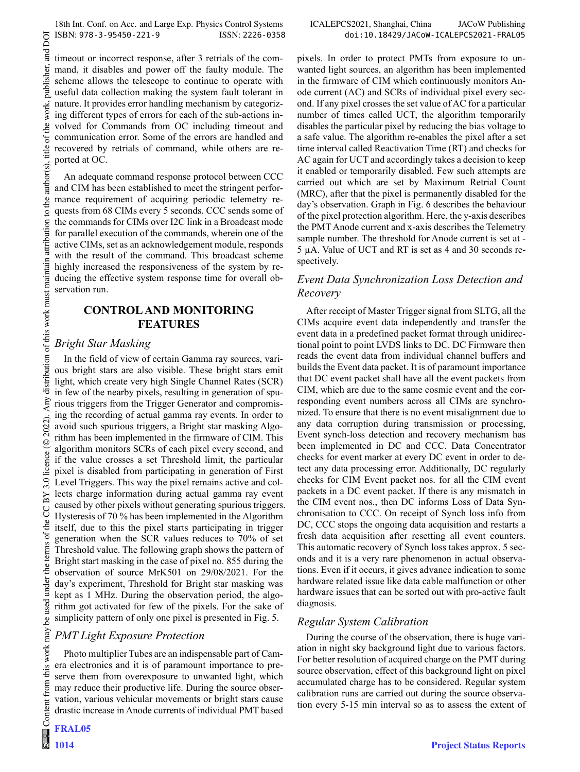timeout or incorrect response, after 3 retrials of the command, it disables and power off the faulty module. The scheme allows the telescope to continue to operate with useful data collection making the system fault tolerant in nature. It provides error handling mechanism by categorizing different types of errors for each of the sub-actions involved for Commands from OC including timeout and communication error. Some of the errors are handled and recovered by retrials of command, while others are reported at OC.

An adequate command response protocol between CCC and CIM has been established to meet the stringent performance requirement of acquiring periodic telemetry requests from 68 CIMs every 5 seconds. CCC sends some of the commands for CIMs over I2C link in a Broadcast mode for parallel execution of the commands, wherein one of the active CIMs, set as an acknowledgement module, responds with the result of the command. This broadcast scheme highly increased the responsiveness of the system by reducing the effective system response time for overall observation run.

#### CONTROL AND MONITORING FEATURES

### Bright Star Masking

In the field of view of certain Gamma ray sources, various bright stars are also visible. These bright stars emit light, which create very high Single Channel Rates (SCR) in few of the nearby pixels, resulting in generation of spurious triggers from the Trigger Generator and compromising the recording of actual gamma ray events. In order to avoid such spurious triggers, a Bright star masking Algorithm has been implemented in the firmware of CIM. This algorithm monitors SCRs of each pixel every second, and if the value crosses a set Threshold limit, the particular pixel is disabled from participating in generation of First Level Triggers. This way the pixel remains active and collects charge information during actual gamma ray event caused by other pixels without generating spurious triggers. Hysteresis of 70 % has been implemented in the Algorithm itself, due to this the pixel starts participating in trigger generation when the SCR values reduces to 70% of set Threshold value. The following graph shows the pattern of Bright start masking in the case of pixel no. 855 during the observation of source MrK501 on 29/08/2021. For the day's experiment, Threshold for Bright star masking was kept as 1 MHz. During the observation period, the algorithm got activated for few of the pixels. For the sake of simplicity pattern of only one pixel is presented in Fig. 5.

### PMT Light Exposure Protection

Photo multiplier Tubes are an indispensable part of Camera electronics and it is of paramount importance to preserve them from overexposure to unwanted light, which may reduce their productive life. During the source observation, various vehicular movements or bright stars cause drastic increase in Anode currents of individual PMT based

 $\frac{1}{\sqrt{2}}$ 

pixels. In order to protect PMTs from exposure to unwanted light sources, an algorithm has been implemented in the firmware of CIM which continuously monitors Anode current (AC) and SCRs of individual pixel every second. If any pixel crosses the set value of AC for a particular number of times called UCT, the algorithm temporarily disables the particular pixel by reducing the bias voltage to a safe value. The algorithm re-enables the pixel after a set time interval called Reactivation Time (RT) and checks for AC again for UCT and accordingly takes a decision to keep it enabled or temporarily disabled. Few such attempts are carried out which are set by Maximum Retrial Count (MRC), after that the pixel is permanently disabled for the day's observation. Graph in Fig. 6 describes the behaviour of the pixel protection algorithm. Here, the y-axis describes the PMT Anode current and x-axis describes the Telemetry sample number. The threshold for Anode current is set at - 5 µA. Value of UCT and RT is set as 4 and 30 seconds respectively.

## Event Data Synchronization Loss Detection and Recovery

After receipt of Master Trigger signal from SLTG, all the CIMs acquire event data independently and transfer the event data in a predefined packet format through unidirectional point to point LVDS links to DC. DC Firmware then reads the event data from individual channel buffers and builds the Event data packet. It is of paramount importance that DC event packet shall have all the event packets from CIM, which are due to the same cosmic event and the corresponding event numbers across all CIMs are synchronized. To ensure that there is no event misalignment due to any data corruption during transmission or processing, Event synch-loss detection and recovery mechanism has been implemented in DC and CCC. Data Concentrator checks for event marker at every DC event in order to detect any data processing error. Additionally, DC regularly checks for CIM Event packet nos. for all the CIM event packets in a DC event packet. If there is any mismatch in the CIM event nos., then DC informs Loss of Data Synchronisation to CCC. On receipt of Synch loss info from DC, CCC stops the ongoing data acquisition and restarts a fresh data acquisition after resetting all event counters. This automatic recovery of Synch loss takes approx. 5 seconds and it is a very rare phenomenon in actual observations. Even if it occurs, it gives advance indication to some hardware related issue like data cable malfunction or other hardware issues that can be sorted out with pro-active fault diagnosis.

### Regular System Calibration

During the course of the observation, there is huge variation in night sky background light due to various factors. For better resolution of acquired charge on the PMT during source observation, effect of this background light on pixel accumulated charge has to be considered. Regular system calibration runs are carried out during the source observation every 5-15 min interval so as to assess the extent of

DOI and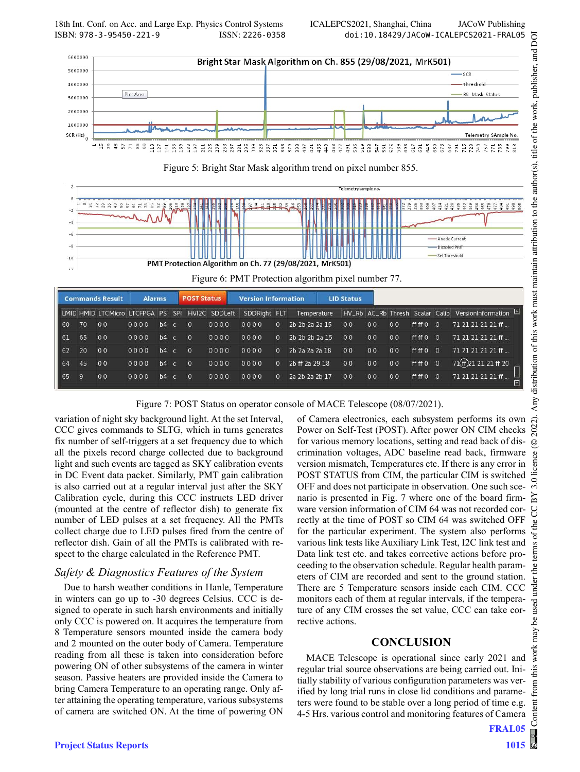

Figure 5: Bright Star Mask algorithm trend on pixel number 855.



| Figure 6: PMT Protection algorithm pixel number 77. |  |  |
|-----------------------------------------------------|--|--|
|-----------------------------------------------------|--|--|

| <b>Commands Result</b> |       | <b>Alarms</b>  |                                                 | <b>POST Status</b> |              | Version Information |              |  | <b>LID Status</b>          |                |                |                |           |                |                                                                |              |
|------------------------|-------|----------------|-------------------------------------------------|--------------------|--------------|---------------------|--------------|--|----------------------------|----------------|----------------|----------------|-----------|----------------|----------------------------------------------------------------|--------------|
|                        |       |                | LMID HMID LTCMicro LTCFPGA PS SPI HVI2C SDDLeft |                    |              |                     | SDDRight FLT |  |                            |                |                |                |           |                | Temperature HV_Rb AC_Rb Thresh Scalar Calib VersionInformation |              |
| 60                     | 70    | 0 <sub>0</sub> | 0000                                            | $b4 \text{ } c$    | $\mathbf{0}$ | 0000                | 0000         |  | $0$ 2b $2b$ $2a$ $2a$ $15$ | 00             | 00             | 00             | ff ff 0   | $\Omega$       | 71 21 21 21 21 ff                                              |              |
|                        | 61 65 | 00             | 0000                                            | $b4$ c             | $\Omega$     | 0000                | 0000         |  | $0$ 2b 2b 2b 2a 15         | 0 <sub>0</sub> | 00             | 00             | ff ff 0   | $\Omega$       | 71 21 21 21 21 ff                                              |              |
|                        | 62 20 | 00             | 0000                                            | $b4$ c             | $\Omega$     | 0000                | 0000         |  | $0$ 2b 2a 2a 2a 18         | 0 <sub>0</sub> | 0 <sub>0</sub> | 0 <sub>0</sub> | ff ff 0   | $\overline{0}$ | 71 21 21 21 21 ff                                              |              |
|                        | 64 45 | 0 <sub>0</sub> | 0000                                            | $b4 \nc$           | $\Omega$     | 0000                | 0000         |  | 0 2b ff 2a 29 18           | 0 <sub>0</sub> | 00             | 00             | ff ff 0 0 |                | 71(ff) 21 21 21 ff 20                                          |              |
|                        | 65 9  | 0 <sub>0</sub> | 0000                                            | $b4 \nc$           | $\Omega$     | 0000                | 0000         |  | 0 2a 2b 2a 2b 17           | 00             | 00             | 00             | ff ff 0   | $\Omega$       | 71 21 21 21 21 ff                                              | <u>alu</u> y |
|                        |       |                |                                                 |                    |              |                     |              |  |                            |                |                |                |           |                |                                                                |              |

Figure 7: POST Status on operator console of MACE Telescope (08/07/2021).

variation of night sky background light. At the set Interval, CCC gives commands to SLTG, which in turns generates fix number of self-triggers at a set frequency due to which all the pixels record charge collected due to background light and such events are tagged as SKY calibration events in DC Event data packet. Similarly, PMT gain calibration is also carried out at a regular interval just after the SKY Calibration cycle, during this CCC instructs LED driver (mounted at the centre of reflector dish) to generate fix number of LED pulses at a set frequency. All the PMTs collect charge due to LED pulses fired from the centre of reflector dish. Gain of all the PMTs is calibrated with respect to the charge calculated in the Reference PMT.

### Safety & Diagnostics Features of the System

Due to harsh weather conditions in Hanle, Temperature in winters can go up to -30 degrees Celsius. CCC is designed to operate in such harsh environments and initially only CCC is powered on. It acquires the temperature from 8 Temperature sensors mounted inside the camera body and 2 mounted on the outer body of Camera. Temperature reading from all these is taken into consideration before powering ON of other subsystems of the camera in winter season. Passive heaters are provided inside the Camera to bring Camera Temperature to an operating range. Only after attaining the operating temperature, various subsystems of camera are switched ON. At the time of powering ON

of Camera electronics, each subsystem performs its own Power on Self-Test (POST). After power ON CIM checks for various memory locations, setting and read back of discrimination voltages, ADC baseline read back, firmware version mismatch, Temperatures etc. If there is any error in POST STATUS from CIM, the particular CIM is switched OFF and does not participate in observation. One such scenario is presented in Fig. 7 where one of the board firmware version information of CIM 64 was not recorded correctly at the time of POST so CIM 64 was switched OFF for the particular experiment. The system also performs various link tests like Auxiliary Link Test, I2C link test and Data link test etc. and takes corrective actions before proceeding to the observation schedule. Regular health parameters of CIM are recorded and sent to the ground station. There are 5 Temperature sensors inside each CIM. CCC monitors each of them at regular intervals, if the temperature of any CIM crosses the set value, CCC can take corrective actions.

### CONCLUSION

MACE Telescope is operational since early 2021 and regular trial source observations are being carried out. Initially stability of various configuration parameters was verified by long trial runs in close lid conditions and parameters were found to be stable over a long period of time e.g. 4-5 Hrs. various control and monitoring features of Camera

FRAL05